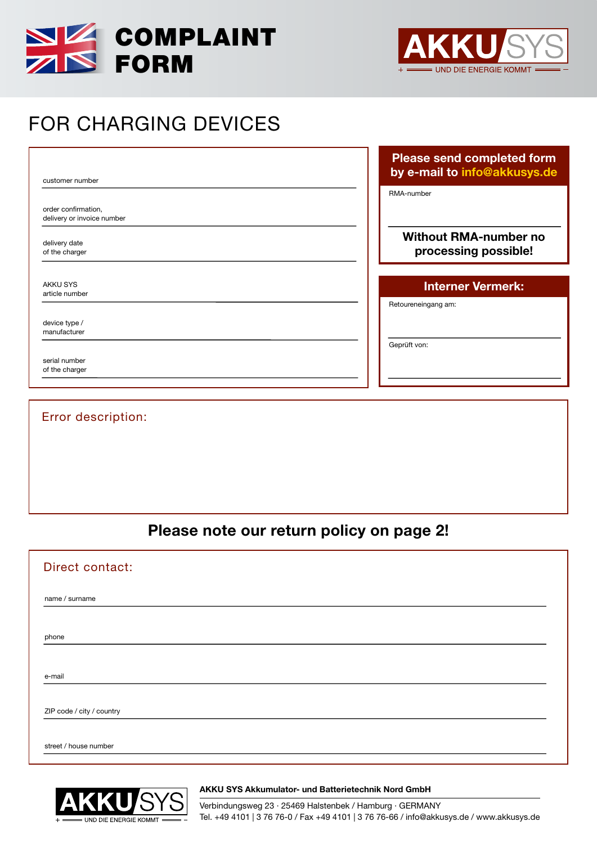



# FOR CHARGING DEVICES

customer number

order confirmation, delivery or invoice number

delivery date of the charger

AKKU SYS article number

device type / manufacturer

serial number of the charger

| Please send completed form   |  |
|------------------------------|--|
| by e-mail to info@akkusys.de |  |

RMA-number

#### Without RMA-number no processing possible!

## Interner Vermerk:

Retoureneingang am:

Geprüft von:

## Error description:

Please note our return policy on page 2!

| Direct contact:           |  |
|---------------------------|--|
| name / surname            |  |
| phone                     |  |
|                           |  |
| e-mail                    |  |
| ZIP code / city / country |  |
| street / house number     |  |



AKKU SYS Akkumulator- und Batterietechnik Nord GmbH